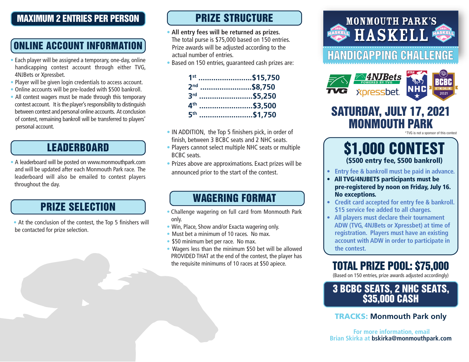#### MAXIMUM 2 ENTRIES PER PERSON

# ONLINE ACCOUNT INFORMATION

- Each player will be assigned a temporary, one-day, online handicapping contest account through either TVG, 4NJBets or Xpressbet.
- Player will be given login credentials to access account.
- Online accounts will be pre-loaded with \$500 bankroll.
- All contest wagers must be made through this temporary • contest account. It is the player's responsibility to distinguish between contest and personal online accounts. At conclusion of contest, remaining bankroll will be transferred to players' personal account.

### LEADERBOARD

• A leaderboard will be posted on www.monmouthpark.com • and will be updated after each Monmouth Park race. The leaderboard will also be emailed to contest players throughout the day.

## PRIZE SELECTION

• At the conclusion of the contest, the Top 5 finishers will be contacted for prize selection.

## PRIZE STRUCTURE

- **All entry fees will be returned as prizes.** The total purse is \$75,000 based on 150 entries. Prize awards will be adjusted according to the actual number of entries.
- Based on 150 entries, guaranteed cash prizes are:

| 1st                      | \$15,750    |
|--------------------------|-------------|
| 2 <sub>nd</sub>          | \$8,750     |
|                          | 3rd \$5,250 |
| $\mathbf{A}^{\text{th}}$ | \$3.500     |
| <b>қth</b>               | \$1,750     |

- IN ADDITION, the Top 5 finishers pick, in order of finish, between 3 BCBC seats and 2 NHC seats.
- Players cannot select multiple NHC seats or multiple BCBC seats.
- Prizes above are approximations. Exact prizes will be announced prior to the start of the contest.

#### WAGERING FORMAT

- Challenge wagering on full card from Monmouth Park only.
- Win, Place, Show and/or Exacta wagering only.
- Must bet a minimum of 10 races. No max.
- \$50 minimum bet per race. No max.
- Wagers less than the minimum \$50 bet will be allowed PROVIDED THAT at the end of the contest, the player has the requisite minimums of 10 races at \$50 apiece.



## SATURDAY, JULY 17, 2021 MONMOUTH PARK

\*TVG is not a sponsor of this contest

## \$1,000 CONTEST (\$500 entry fee, \$500 bankroll)

- **Entry fee & bankroll must be paid in advance.**
- All TVG/4NJBETS participants must be pre-registered by noon on Friday, July 16. No exceptions.
- **Credit card accepted for entry fee & bankroll. \$15 service fee added to all charges.**
- **All players must declare their tournament ADW (TVG, 4NJBets or Xpressbet) at time of registration. Players must have an existing account with ADW in order to participate in the contest.**

## TOTAL PRIZE POOL: \$75,000

(Based on 150 entries, prize awards adjusted accordingly)

#### 3 BCBC SEATS, 2 NHC SEATS, \$35,000 CASH

TRACKS: **Monmouth Park only** 

 **For more information, email Brian Skirka at bskirka@monmouthpark.com**